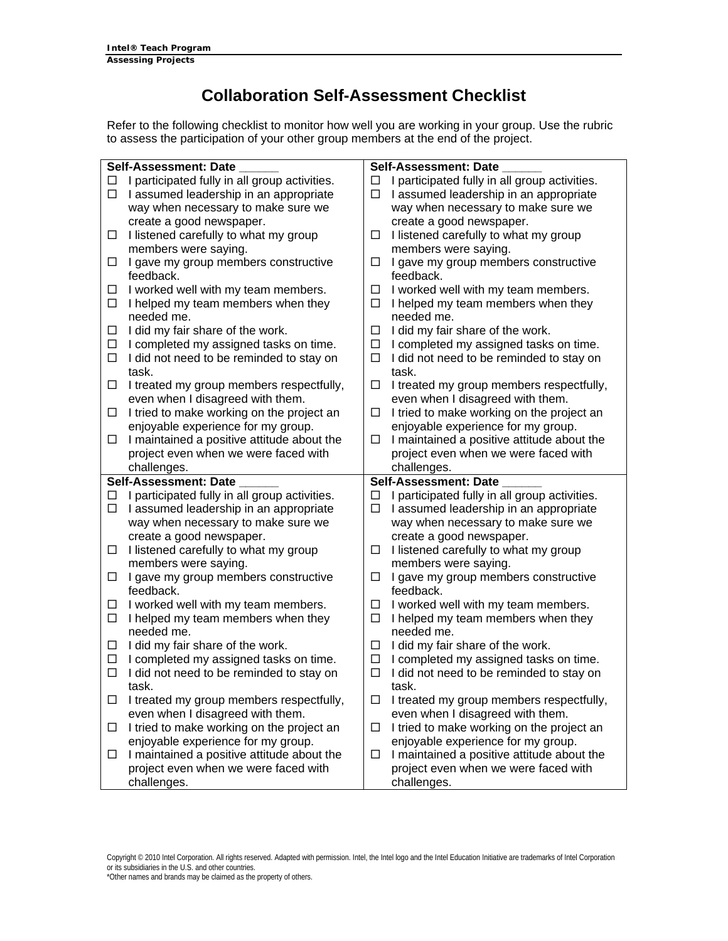## **Collaboration Self-Assessment Checklist**

Refer to the following checklist to monitor how well you are working in your group. Use the rubric to assess the participation of your other group members at the end of the project.

|        | <b>Self-Assessment: Date</b>                        |        | Self-Assessment: Date                               |
|--------|-----------------------------------------------------|--------|-----------------------------------------------------|
| □      | I participated fully in all group activities.       | □      | I participated fully in all group activities.       |
| $\Box$ | I assumed leadership in an appropriate              | □      | I assumed leadership in an appropriate              |
|        | way when necessary to make sure we                  |        | way when necessary to make sure we                  |
|        | create a good newspaper.                            |        | create a good newspaper.                            |
| $\Box$ | I listened carefully to what my group               | □      | I listened carefully to what my group               |
|        | members were saying.                                |        | members were saying.                                |
| $\Box$ | I gave my group members constructive                | □      | I gave my group members constructive                |
|        | feedback.                                           |        | feedback.                                           |
| □      | I worked well with my team members.                 | □      | I worked well with my team members.                 |
| $\Box$ | I helped my team members when they                  | □      | I helped my team members when they                  |
|        | needed me.                                          |        | needed me.                                          |
| □      | I did my fair share of the work.                    | □      | I did my fair share of the work.                    |
| □      | I completed my assigned tasks on time.              | □      | I completed my assigned tasks on time.              |
| $\Box$ | I did not need to be reminded to stay on            | $\Box$ | I did not need to be reminded to stay on            |
|        | task.                                               |        | task.                                               |
| □      | I treated my group members respectfully,            | □      | I treated my group members respectfully,            |
|        | even when I disagreed with them.                    |        | even when I disagreed with them.                    |
| □      | I tried to make working on the project an           | □      | I tried to make working on the project an           |
|        | enjoyable experience for my group.                  |        | enjoyable experience for my group.                  |
| $\Box$ | I maintained a positive attitude about the          | □      | I maintained a positive attitude about the          |
|        | project even when we were faced with                |        | project even when we were faced with                |
|        | challenges.                                         |        | challenges.                                         |
|        |                                                     |        |                                                     |
|        |                                                     |        |                                                     |
|        | Self-Assessment: Date                               |        | Self-Assessment: Date                               |
| □      | I participated fully in all group activities.       | □      | I participated fully in all group activities.       |
| □      | I assumed leadership in an appropriate              | □      | I assumed leadership in an appropriate              |
|        | way when necessary to make sure we                  |        | way when necessary to make sure we                  |
|        | create a good newspaper.                            |        | create a good newspaper.                            |
| □      | I listened carefully to what my group               | □      | I listened carefully to what my group               |
|        | members were saying.                                |        | members were saying.                                |
| □      | I gave my group members constructive                | □      | I gave my group members constructive                |
|        | feedback.                                           |        | feedback.                                           |
| ப      | I worked well with my team members.                 | □      | I worked well with my team members.                 |
| □      | I helped my team members when they                  | □      | I helped my team members when they                  |
|        | needed me.                                          |        | needed me.                                          |
| □      | I did my fair share of the work.                    | □      | I did my fair share of the work.                    |
| $\Box$ | I completed my assigned tasks on time.              | □      | I completed my assigned tasks on time.              |
| □      | I did not need to be reminded to stay on            | □      | I did not need to be reminded to stay on            |
|        | task.                                               |        | task.                                               |
| □      | I treated my group members respectfully,            | □      | I treated my group members respectfully,            |
|        | even when I disagreed with them.                    |        | even when I disagreed with them.                    |
| □      | I tried to make working on the project an           | □      | I tried to make working on the project an           |
|        | enjoyable experience for my group.                  |        | enjoyable experience for my group.                  |
| □      | I maintained a positive attitude about the          | □      | I maintained a positive attitude about the          |
|        | project even when we were faced with<br>challenges. |        | project even when we were faced with<br>challenges. |

Copyright © 2010 Intel Corporation. All rights reserved. Adapted with permission. Intel, the Intel logo and the Intel Education Initiative are trademarks of Intel Corporation or its subsidiaries in the U.S. and other countries. \*Other names and brands may be claimed as the property of others.